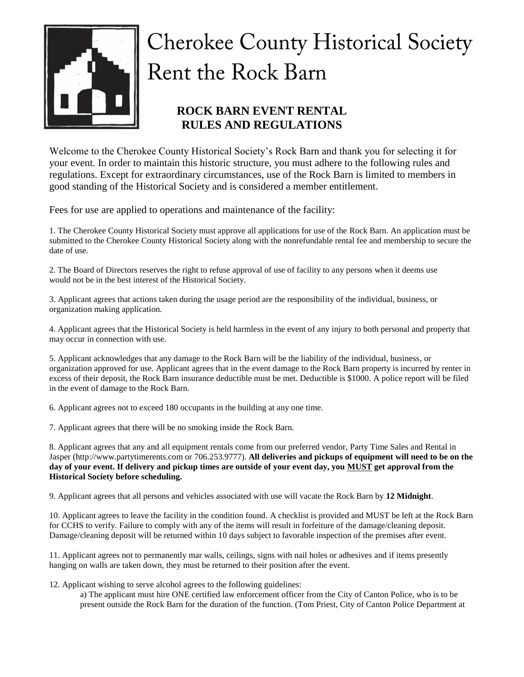

# **Cherokee County Historical Society** Rent the Rock Barn

## **ROCK BARN EVENT RENTAL RULES AND REGULATIONS**

Welcome to the Cherokee County Historical Society's Rock Barn and thank you for selecting it for your event. In order to maintain this historic structure, you must adhere to the following rules and regulations. Except for extraordinary circumstances, use of the Rock Barn is limited to members in good standing of the Historical Society and is considered a member entitlement.

Fees for use are applied to operations and maintenance of the facility:

1. The Cherokee County Historical Society must approve all applications for use of the Rock Barn. An application must be submitted to the Cherokee County Historical Society along with the nonrefundable rental fee and membership to secure the date of use.

2. The Board of Directors reserves the right to refuse approval of use of facility to any persons when it deems use would not be in the best interest of the Historical Society.

3. Applicant agrees that actions taken during the usage period are the responsibility of the individual, business, or organization making application.

4. Applicant agrees that the Historical Society is held harmless in the event of any injury to both personal and property that may occur in connection with use.

5. Applicant acknowledges that any damage to the Rock Barn will be the liability of the individual, business, or organization approved for use. Applicant agrees that in the event damage to the Rock Barn property is incurred by renter in excess of their deposit, the Rock Barn insurance deductible must be met. Deductible is \$1000. A police report will be filed in the event of damage to the Rock Barn.

6. Applicant agrees not to exceed 180 occupants in the building at any one time.

7. Applicant agrees that there will be no smoking inside the Rock Barn.

8. Applicant agrees that any and all equipment rentals come from our preferred vendor, Party Time Sales and Rental in Jasper (http://www.partytimerents.com or 706.253.9777). **All deliveries and pickups of equipment will need to be on the day of your event. If delivery and pickup times are outside of your event day, you MUST get approval from the Historical Society before scheduling.**

9. Applicant agrees that all persons and vehicles associated with use will vacate the Rock Barn by **12 Midnight**.

10. Applicant agrees to leave the facility in the condition found. A checklist is provided and MUST be left at the Rock Barn for CCHS to verify. Failure to comply with any of the items will result in forfeiture of the damage/cleaning deposit. Damage/cleaning deposit will be returned within 10 days subject to favorable inspection of the premises after event.

11. Applicant agrees not to permanently mar walls, ceilings, signs with nail holes or adhesives and if items presently hanging on walls are taken down, they must be returned to their position after the event.

12. Applicant wishing to serve alcohol agrees to the following guidelines:

a) The applicant must hire ONE certified law enforcement officer from the City of Canton Police, who is to be present outside the Rock Barn for the duration of the function. (Tom Priest, City of Canton Police Department at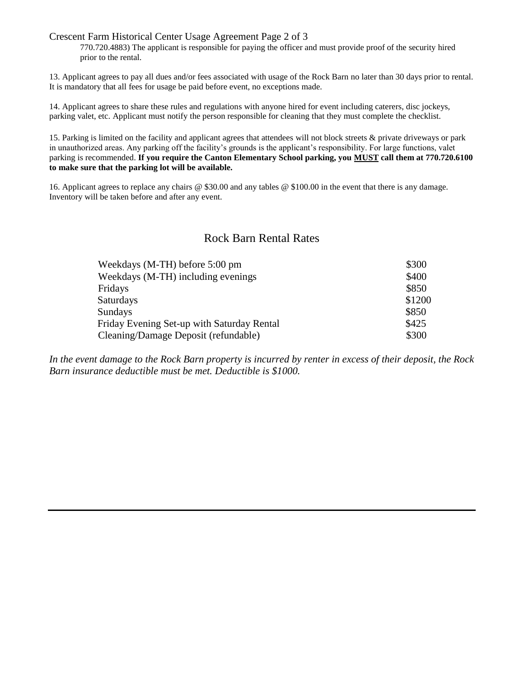#### Crescent Farm Historical Center Usage Agreement Page 2 of 3

770.720.4883) The applicant is responsible for paying the officer and must provide proof of the security hired prior to the rental.

13. Applicant agrees to pay all dues and/or fees associated with usage of the Rock Barn no later than 30 days prior to rental. It is mandatory that all fees for usage be paid before event, no exceptions made.

14. Applicant agrees to share these rules and regulations with anyone hired for event including caterers, disc jockeys, parking valet, etc. Applicant must notify the person responsible for cleaning that they must complete the checklist.

15. Parking is limited on the facility and applicant agrees that attendees will not block streets & private driveways or park in unauthorized areas. Any parking off the facility's grounds is the applicant's responsibility. For large functions, valet parking is recommended. **If you require the Canton Elementary School parking, you MUST call them at 770.720.6100 to make sure that the parking lot will be available.**

16. Applicant agrees to replace any chairs @ \$30.00 and any tables @ \$100.00 in the event that there is any damage. Inventory will be taken before and after any event.

### Rock Barn Rental Rates

| Weekdays (M-TH) before 5:00 pm             | \$300  |
|--------------------------------------------|--------|
| Weekdays (M-TH) including evenings         | \$400  |
| Fridays                                    | \$850  |
| <b>Saturdays</b>                           | \$1200 |
| <b>Sundays</b>                             | \$850  |
| Friday Evening Set-up with Saturday Rental | \$425  |
| Cleaning/Damage Deposit (refundable)       | \$300  |

*In the event damage to the Rock Barn property is incurred by renter in excess of their deposit, the Rock Barn insurance deductible must be met. Deductible is \$1000.*